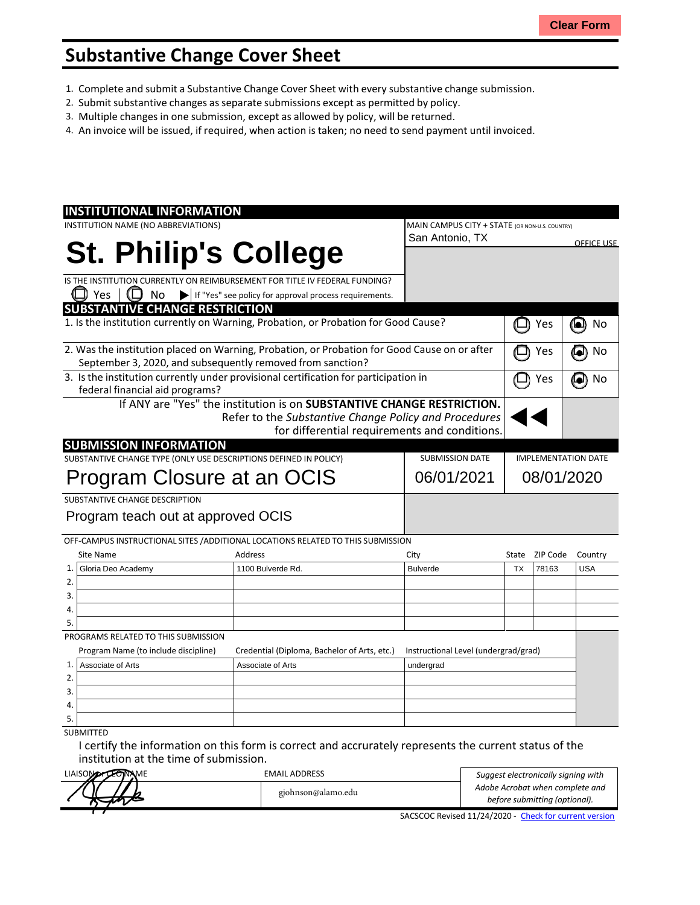## **Substantive Change Cover Sheet**

- 1. Complete and submit a Substantive Change Cover Sheet with every substantive change submission.
- 2. Submit substantive changes asseparate submissions except as permitted by policy.
- 3. Multiple changes in one submission, except as allowed by policy, will be returned.
- 4. An invoice will be issued, if required, when action is taken; no need to send payment until invoiced.

| <b>INSTITUTIONAL INFORMATION</b>                                                             |                                                                        |  |                                                |                            |                   |                   |
|----------------------------------------------------------------------------------------------|------------------------------------------------------------------------|--|------------------------------------------------|----------------------------|-------------------|-------------------|
| INSTITUTION NAME (NO ABBREVIATIONS)                                                          |                                                                        |  | MAIN CAMPUS CITY + STATE (OR NON-U.S. COUNTRY) |                            |                   |                   |
|                                                                                              |                                                                        |  | San Antonio, TX                                |                            |                   | <b>OFFICE USE</b> |
| <b>St. Philip's College</b>                                                                  |                                                                        |  |                                                |                            |                   |                   |
|                                                                                              |                                                                        |  |                                                |                            |                   |                   |
| IS THE INSTITUTION CURRENTLY ON REIMBURSEMENT FOR TITLE IV FEDERAL FUNDING?                  |                                                                        |  |                                                |                            |                   |                   |
| Yes<br>No                                                                                    | If "Yes" see policy for approval process requirements.                 |  |                                                |                            |                   |                   |
| <b>SUBSTANTIVE CHANGE RESTRICTION</b>                                                        |                                                                        |  |                                                |                            |                   |                   |
| 1. Is the institution currently on Warning, Probation, or Probation for Good Cause?          |                                                                        |  |                                                |                            | Yes               | 0<br>No           |
| 2. Was the institution placed on Warning, Probation, or Probation for Good Cause on or after |                                                                        |  |                                                |                            | Yes               | No<br>[e])        |
| September 3, 2020, and subsequently removed from sanction?                                   |                                                                        |  |                                                |                            |                   |                   |
| 3. Is the institution currently under provisional certification for participation in         |                                                                        |  |                                                | Yes                        | No<br><b>[el)</b> |                   |
| federal financial aid programs?                                                              |                                                                        |  |                                                |                            |                   |                   |
|                                                                                              | If ANY are "Yes" the institution is on SUBSTANTIVE CHANGE RESTRICTION. |  |                                                |                            |                   |                   |
|                                                                                              | Refer to the Substantive Change Policy and Procedures                  |  |                                                |                            |                   |                   |
|                                                                                              |                                                                        |  | for differential requirements and conditions.  |                            |                   |                   |
| <b>SUBMISSION INFORMATION</b>                                                                |                                                                        |  |                                                |                            |                   |                   |
| SUBSTANTIVE CHANGE TYPE (ONLY USE DESCRIPTIONS DEFINED IN POLICY)                            |                                                                        |  | <b>SUBMISSION DATE</b>                         | <b>IMPLEMENTATION DATE</b> |                   |                   |
|                                                                                              |                                                                        |  | 06/01/2021                                     | 08/01/2020                 |                   |                   |
| Program Closure at an OCIS                                                                   |                                                                        |  |                                                |                            |                   |                   |
| SUBSTANTIVE CHANGE DESCRIPTION                                                               |                                                                        |  |                                                |                            |                   |                   |
| Program teach out at approved OCIS                                                           |                                                                        |  |                                                |                            |                   |                   |
|                                                                                              |                                                                        |  |                                                |                            |                   |                   |
| OFF-CAMPUS INSTRUCTIONAL SITES / ADDITIONAL LOCATIONS RELATED TO THIS SUBMISSION             |                                                                        |  |                                                |                            |                   |                   |
| Site Name                                                                                    | Address                                                                |  | City                                           |                            | State ZIP Code    | Country           |
| $\mathbf{1}$<br>Gloria Deo Academy                                                           | 1100 Bulverde Rd.                                                      |  | <b>Bulverde</b>                                | <b>TX</b>                  | 78163             | <b>USA</b>        |
| 2.                                                                                           |                                                                        |  |                                                |                            |                   |                   |
| 3.                                                                                           |                                                                        |  |                                                |                            |                   |                   |
| 4.                                                                                           |                                                                        |  |                                                |                            |                   |                   |
| 5.                                                                                           |                                                                        |  |                                                |                            |                   |                   |
|                                                                                              |                                                                        |  |                                                |                            |                   |                   |
| PROGRAMS RELATED TO THIS SUBMISSION                                                          |                                                                        |  |                                                |                            |                   |                   |
| Program Name (to include discipline)                                                         | Credential (Diploma, Bachelor of Arts, etc.)                           |  | Instructional Level (undergrad/grad)           |                            |                   |                   |
| 1.<br>Associate of Arts                                                                      | Associate of Arts                                                      |  | undergrad                                      |                            |                   |                   |
| 2.                                                                                           |                                                                        |  |                                                |                            |                   |                   |
| 3.                                                                                           |                                                                        |  |                                                |                            |                   |                   |
| 4.                                                                                           |                                                                        |  |                                                |                            |                   |                   |
| 5.                                                                                           |                                                                        |  |                                                |                            |                   |                   |

I certify the information on this form is correct and accrurately represents the current status of the institution at the time of submission.

| <b>LIAISOMATION</b><br><b>CEONAME</b> | <b>EMAIL ADDRESS</b> | Suggest electronically signing with                                                                                                               |  |
|---------------------------------------|----------------------|---------------------------------------------------------------------------------------------------------------------------------------------------|--|
|                                       | gjohnson@alamo.edu   | Adobe Acrobat when complete and<br>before submitting (optional).                                                                                  |  |
|                                       |                      | $C \land C \cap C \cap C \cap L$ , $A \cup A \neq A \cap A \cap C \cap C$ , $C \cup L \subseteq L$ , $C \cup L \cup L \cup L$ , $C \cup L \cup L$ |  |

SACSCOC Revised 11/24/2020 - Check [for current](http://sacscoc.org/app/uploads/2020/01/Substantive_Change_Cover_-Sheet.pdf) version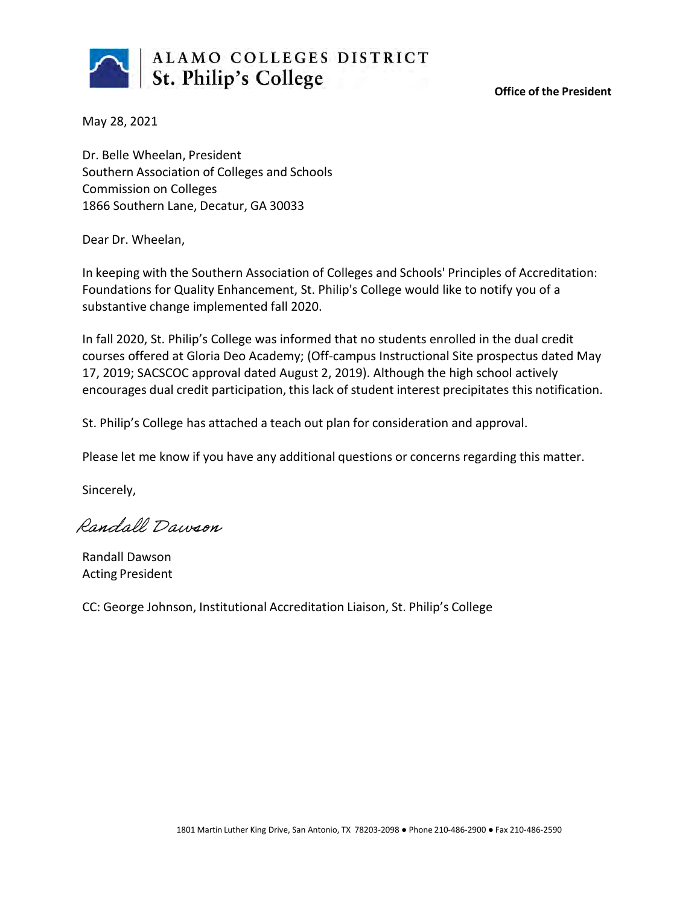

**Office of the President**

May 28, 2021

Dr. Belle Wheelan, President Southern Association of Colleges and Schools Commission on Colleges 1866 Southern Lane, Decatur, GA 30033

Dear Dr. Wheelan,

In keeping with the Southern Association of Colleges and Schools' Principles of Accreditation: Foundations for Quality Enhancement, St. Philip's College would like to notify you of a substantive change implemented fall 2020.

In fall 2020, St. Philip's College was informed that no students enrolled in the dual credit courses offered at Gloria Deo Academy; (Off-campus Instructional Site prospectus dated May 17, 2019; SACSCOC approval dated August 2, 2019). Although the high school actively encourages dual credit participation, this lack of student interest precipitates this notification.

St. Philip's College has attached a teach out plan for consideration and approval.

Please let me know if you have any additional questions or concerns regarding this matter.

Sincerely,

Randall Dawson

Randall Dawson Acting President

CC: George Johnson, Institutional Accreditation Liaison, St. Philip's College